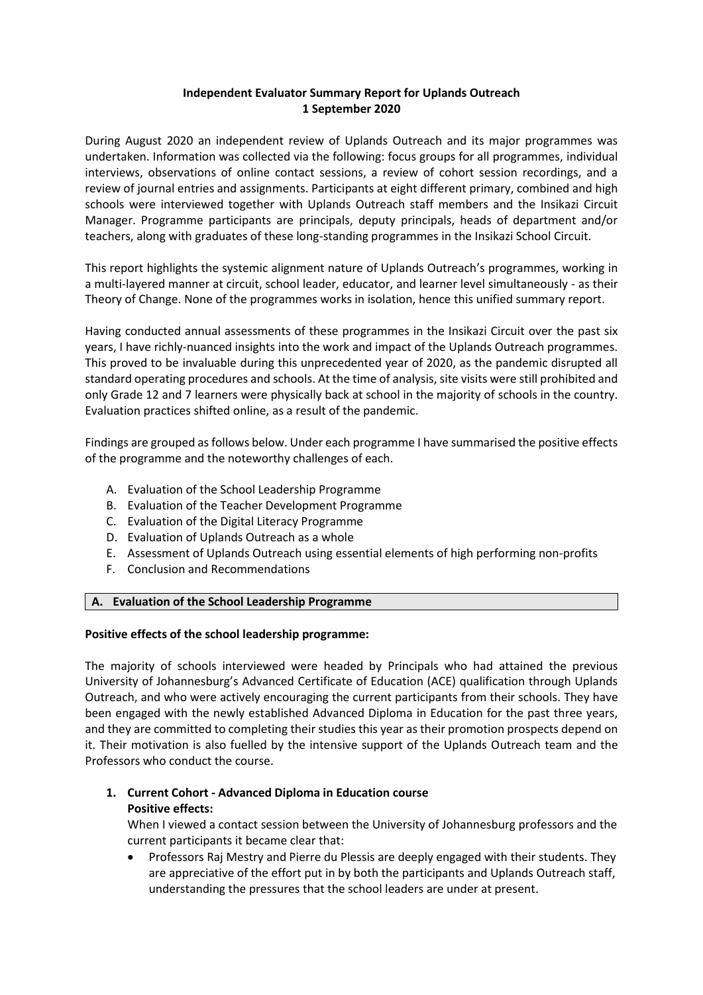## **Independent Evaluator Summary Report for Uplands Outreach 1 September 2020**

During August 2020 an independent review of Uplands Outreach and its major programmes was undertaken. Information was collected via the following: focus groups for all programmes, individual interviews, observations of online contact sessions, a review of cohort session recordings, and a review of journal entries and assignments. Participants at eight different primary, combined and high schools were interviewed together with Uplands Outreach staff members and the Insikazi Circuit Manager. Programme participants are principals, deputy principals, heads of department and/or teachers, along with graduates of these long-standing programmes in the Insikazi School Circuit.

This report highlights the systemic alignment nature of Uplands Outreach's programmes, working in a multi-layered manner at circuit, school leader, educator, and learner level simultaneously - as their Theory of Change. None of the programmes works in isolation, hence this unified summary report.

Having conducted annual assessments of these programmes in the Insikazi Circuit over the past six years, I have richly-nuanced insights into the work and impact of the Uplands Outreach programmes. This proved to be invaluable during this unprecedented year of 2020, as the pandemic disrupted all standard operating procedures and schools. At the time of analysis, site visits were still prohibited and only Grade 12 and 7 learners were physically back at school in the majority of schools in the country. Evaluation practices shifted online, as a result of the pandemic.

Findings are grouped as follows below. Under each programme I have summarised the positive effects of the programme and the noteworthy challenges of each.

- A. Evaluation of the School Leadership Programme
- B. Evaluation of the Teacher Development Programme
- C. Evaluation of the Digital Literacy Programme
- D. Evaluation of Uplands Outreach as a whole
- E. Assessment of Uplands Outreach using essential elements of high performing non-profits
- F. Conclusion and Recommendations

#### **A. Evaluation of the School Leadership Programme**

#### **Positive effects of the school leadership programme:**

The majority of schools interviewed were headed by Principals who had attained the previous University of Johannesburg's Advanced Certificate of Education (ACE) qualification through Uplands Outreach, and who were actively encouraging the current participants from their schools. They have been engaged with the newly established Advanced Diploma in Education for the past three years, and they are committed to completing their studies this year as their promotion prospects depend on it. Their motivation is also fuelled by the intensive support of the Uplands Outreach team and the Professors who conduct the course.

# **1. Current Cohort - Advanced Diploma in Education course Positive effects:**

When I viewed a contact session between the University of Johannesburg professors and the current participants it became clear that:

 Professors Raj Mestry and Pierre du Plessis are deeply engaged with their students. They are appreciative of the effort put in by both the participants and Uplands Outreach staff, understanding the pressures that the school leaders are under at present.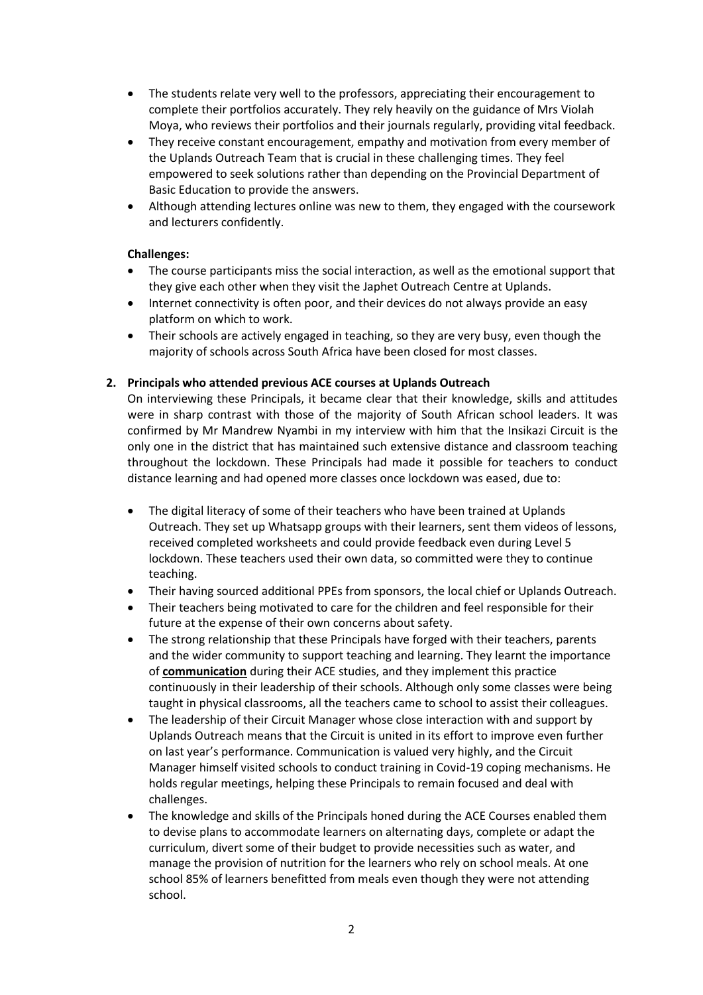- The students relate very well to the professors, appreciating their encouragement to complete their portfolios accurately. They rely heavily on the guidance of Mrs Violah Moya, who reviews their portfolios and their journals regularly, providing vital feedback.
- They receive constant encouragement, empathy and motivation from every member of the Uplands Outreach Team that is crucial in these challenging times. They feel empowered to seek solutions rather than depending on the Provincial Department of Basic Education to provide the answers.
- Although attending lectures online was new to them, they engaged with the coursework and lecturers confidently.

## **Challenges:**

- The course participants miss the social interaction, as well as the emotional support that they give each other when they visit the Japhet Outreach Centre at Uplands.
- Internet connectivity is often poor, and their devices do not always provide an easy platform on which to work.
- Their schools are actively engaged in teaching, so they are very busy, even though the majority of schools across South Africa have been closed for most classes.

## **2. Principals who attended previous ACE courses at Uplands Outreach**

On interviewing these Principals, it became clear that their knowledge, skills and attitudes were in sharp contrast with those of the majority of South African school leaders. It was confirmed by Mr Mandrew Nyambi in my interview with him that the Insikazi Circuit is the only one in the district that has maintained such extensive distance and classroom teaching throughout the lockdown. These Principals had made it possible for teachers to conduct distance learning and had opened more classes once lockdown was eased, due to:

- The digital literacy of some of their teachers who have been trained at Uplands Outreach. They set up Whatsapp groups with their learners, sent them videos of lessons, received completed worksheets and could provide feedback even during Level 5 lockdown. These teachers used their own data, so committed were they to continue teaching.
- Their having sourced additional PPEs from sponsors, the local chief or Uplands Outreach.
- Their teachers being motivated to care for the children and feel responsible for their future at the expense of their own concerns about safety.
- The strong relationship that these Principals have forged with their teachers, parents and the wider community to support teaching and learning. They learnt the importance of **communication** during their ACE studies, and they implement this practice continuously in their leadership of their schools. Although only some classes were being taught in physical classrooms, all the teachers came to school to assist their colleagues.
- The leadership of their Circuit Manager whose close interaction with and support by Uplands Outreach means that the Circuit is united in its effort to improve even further on last year's performance. Communication is valued very highly, and the Circuit Manager himself visited schools to conduct training in Covid-19 coping mechanisms. He holds regular meetings, helping these Principals to remain focused and deal with challenges.
- The knowledge and skills of the Principals honed during the ACE Courses enabled them to devise plans to accommodate learners on alternating days, complete or adapt the curriculum, divert some of their budget to provide necessities such as water, and manage the provision of nutrition for the learners who rely on school meals. At one school 85% of learners benefitted from meals even though they were not attending school.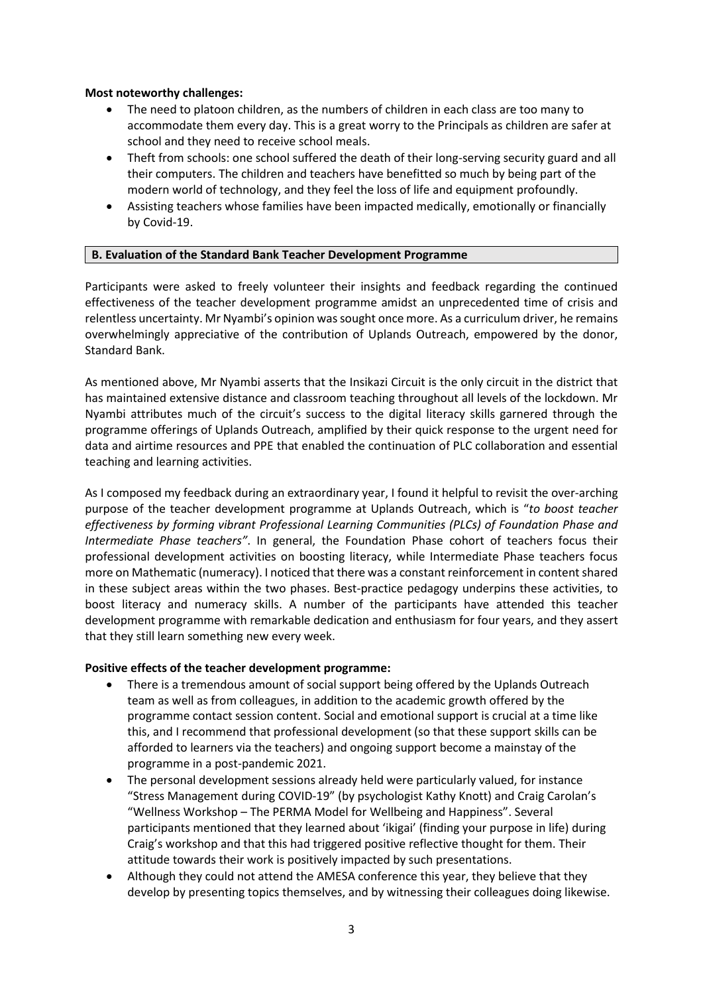#### **Most noteworthy challenges:**

- The need to platoon children, as the numbers of children in each class are too many to accommodate them every day. This is a great worry to the Principals as children are safer at school and they need to receive school meals.
- Theft from schools: one school suffered the death of their long-serving security guard and all their computers. The children and teachers have benefitted so much by being part of the modern world of technology, and they feel the loss of life and equipment profoundly.
- Assisting teachers whose families have been impacted medically, emotionally or financially by Covid-19.

## **A. B. Evaluation of the Standard Bank Teacher Development Programme**

Participants were asked to freely volunteer their insights and feedback regarding the continued effectiveness of the teacher development programme amidst an unprecedented time of crisis and relentless uncertainty. Mr Nyambi's opinion was sought once more. As a curriculum driver, he remains overwhelmingly appreciative of the contribution of Uplands Outreach, empowered by the donor, Standard Bank.

As mentioned above, Mr Nyambi asserts that the Insikazi Circuit is the only circuit in the district that has maintained extensive distance and classroom teaching throughout all levels of the lockdown. Mr Nyambi attributes much of the circuit's success to the digital literacy skills garnered through the programme offerings of Uplands Outreach, amplified by their quick response to the urgent need for data and airtime resources and PPE that enabled the continuation of PLC collaboration and essential teaching and learning activities.

As I composed my feedback during an extraordinary year, I found it helpful to revisit the over-arching purpose of the teacher development programme at Uplands Outreach, which is "*to boost teacher effectiveness by forming vibrant Professional Learning Communities (PLCs) of Foundation Phase and Intermediate Phase teachers"*. In general, the Foundation Phase cohort of teachers focus their professional development activities on boosting literacy, while Intermediate Phase teachers focus more on Mathematic (numeracy). I noticed that there was a constant reinforcement in content shared in these subject areas within the two phases. Best-practice pedagogy underpins these activities, to boost literacy and numeracy skills. A number of the participants have attended this teacher development programme with remarkable dedication and enthusiasm for four years, and they assert that they still learn something new every week.

#### **Positive effects of the teacher development programme:**

- There is a tremendous amount of social support being offered by the Uplands Outreach team as well as from colleagues, in addition to the academic growth offered by the programme contact session content. Social and emotional support is crucial at a time like this, and I recommend that professional development (so that these support skills can be afforded to learners via the teachers) and ongoing support become a mainstay of the programme in a post-pandemic 2021.
- The personal development sessions already held were particularly valued, for instance "Stress Management during COVID-19" (by psychologist Kathy Knott) and Craig Carolan's "Wellness Workshop – The PERMA Model for Wellbeing and Happiness". Several participants mentioned that they learned about 'ikigai' (finding your purpose in life) during Craig's workshop and that this had triggered positive reflective thought for them. Their attitude towards their work is positively impacted by such presentations.
- Although they could not attend the AMESA conference this year, they believe that they develop by presenting topics themselves, and by witnessing their colleagues doing likewise.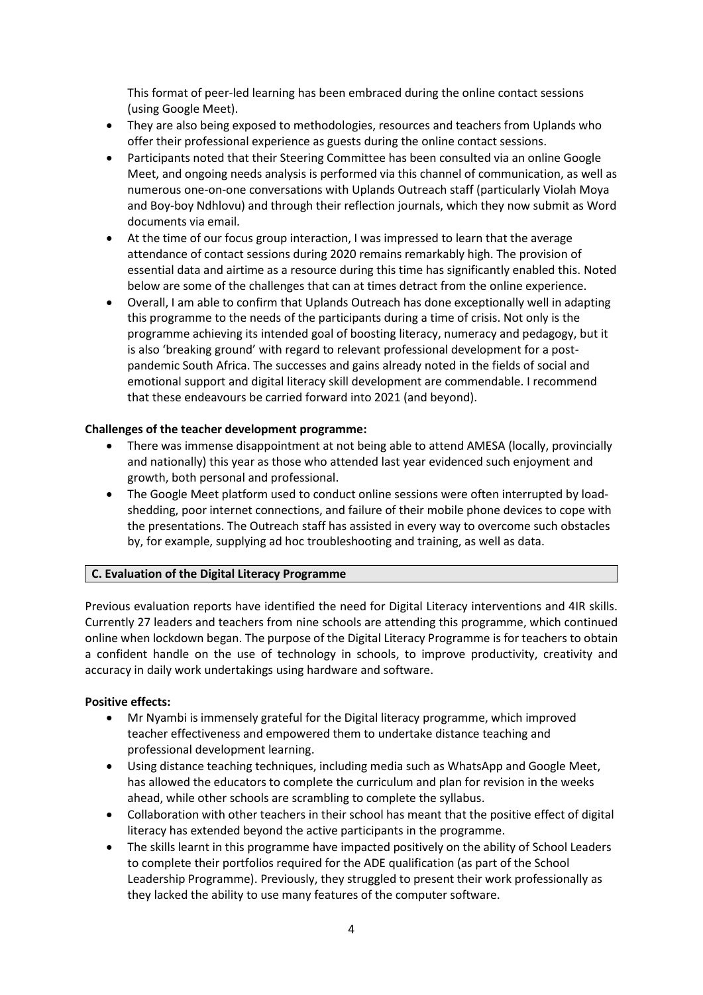This format of peer-led learning has been embraced during the online contact sessions (using Google Meet).

- They are also being exposed to methodologies, resources and teachers from Uplands who offer their professional experience as guests during the online contact sessions.
- Participants noted that their Steering Committee has been consulted via an online Google Meet, and ongoing needs analysis is performed via this channel of communication, as well as numerous one-on-one conversations with Uplands Outreach staff (particularly Violah Moya and Boy-boy Ndhlovu) and through their reflection journals, which they now submit as Word documents via email.
- At the time of our focus group interaction, I was impressed to learn that the average attendance of contact sessions during 2020 remains remarkably high. The provision of essential data and airtime as a resource during this time has significantly enabled this. Noted below are some of the challenges that can at times detract from the online experience.
- Overall, I am able to confirm that Uplands Outreach has done exceptionally well in adapting this programme to the needs of the participants during a time of crisis. Not only is the programme achieving its intended goal of boosting literacy, numeracy and pedagogy, but it is also 'breaking ground' with regard to relevant professional development for a postpandemic South Africa. The successes and gains already noted in the fields of social and emotional support and digital literacy skill development are commendable. I recommend that these endeavours be carried forward into 2021 (and beyond).

#### **Challenges of the teacher development programme:**

- There was immense disappointment at not being able to attend AMESA (locally, provincially and nationally) this year as those who attended last year evidenced such enjoyment and growth, both personal and professional.
- The Google Meet platform used to conduct online sessions were often interrupted by loadshedding, poor internet connections, and failure of their mobile phone devices to cope with the presentations. The Outreach staff has assisted in every way to overcome such obstacles by, for example, supplying ad hoc troubleshooting and training, as well as data.

#### **B. C. Evaluation of the Digital Literacy Programme**

Previous evaluation reports have identified the need for Digital Literacy interventions and 4IR skills. Currently 27 leaders and teachers from nine schools are attending this programme, which continued online when lockdown began. The purpose of the Digital Literacy Programme is for teachers to obtain a confident handle on the use of technology in schools, to improve productivity, creativity and accuracy in daily work undertakings using hardware and software.

#### **Positive effects:**

- Mr Nyambi is immensely grateful for the Digital literacy programme, which improved teacher effectiveness and empowered them to undertake distance teaching and professional development learning.
- Using distance teaching techniques, including media such as WhatsApp and Google Meet, has allowed the educators to complete the curriculum and plan for revision in the weeks ahead, while other schools are scrambling to complete the syllabus.
- Collaboration with other teachers in their school has meant that the positive effect of digital literacy has extended beyond the active participants in the programme.
- The skills learnt in this programme have impacted positively on the ability of School Leaders to complete their portfolios required for the ADE qualification (as part of the School Leadership Programme). Previously, they struggled to present their work professionally as they lacked the ability to use many features of the computer software.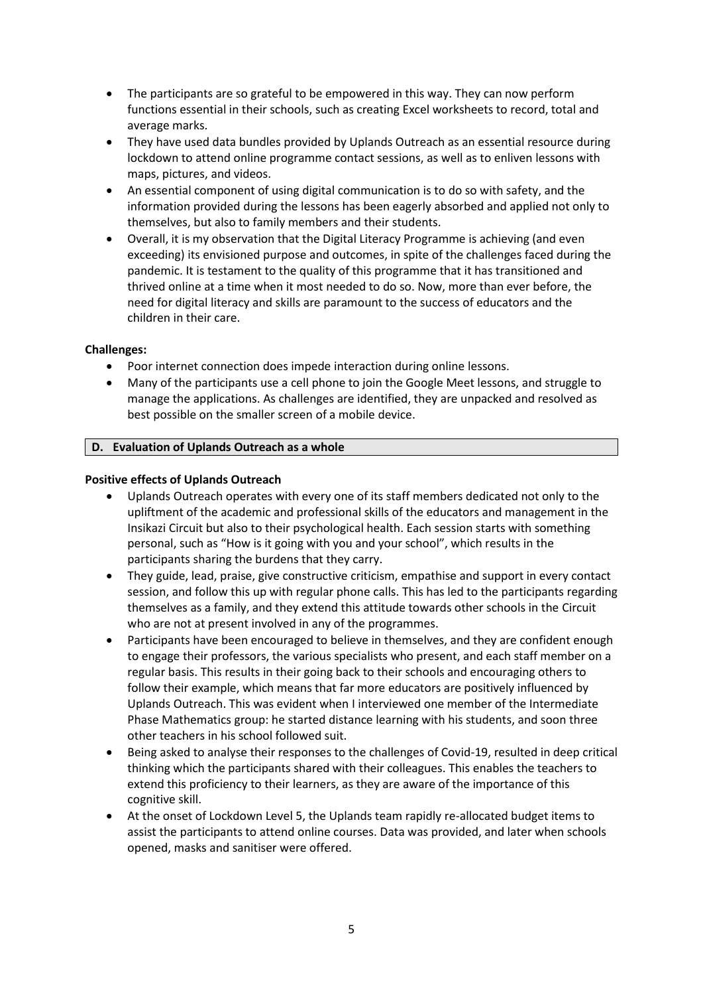- The participants are so grateful to be empowered in this way. They can now perform functions essential in their schools, such as creating Excel worksheets to record, total and average marks.
- They have used data bundles provided by Uplands Outreach as an essential resource during lockdown to attend online programme contact sessions, as well as to enliven lessons with maps, pictures, and videos.
- An essential component of using digital communication is to do so with safety, and the information provided during the lessons has been eagerly absorbed and applied not only to themselves, but also to family members and their students.
- Overall, it is my observation that the Digital Literacy Programme is achieving (and even exceeding) its envisioned purpose and outcomes, in spite of the challenges faced during the pandemic. It is testament to the quality of this programme that it has transitioned and thrived online at a time when it most needed to do so. Now, more than ever before, the need for digital literacy and skills are paramount to the success of educators and the children in their care.

# **Challenges:**

- Poor internet connection does impede interaction during online lessons.
- Many of the participants use a cell phone to join the Google Meet lessons, and struggle to manage the applications. As challenges are identified, they are unpacked and resolved as best possible on the smaller screen of a mobile device.

## **D. Evaluation of Uplands Outreach as a whole**

## **Positive effects of Uplands Outreach**

- Uplands Outreach operates with every one of its staff members dedicated not only to the upliftment of the academic and professional skills of the educators and management in the Insikazi Circuit but also to their psychological health. Each session starts with something personal, such as "How is it going with you and your school", which results in the participants sharing the burdens that they carry.
- They guide, lead, praise, give constructive criticism, empathise and support in every contact session, and follow this up with regular phone calls. This has led to the participants regarding themselves as a family, and they extend this attitude towards other schools in the Circuit who are not at present involved in any of the programmes.
- Participants have been encouraged to believe in themselves, and they are confident enough to engage their professors, the various specialists who present, and each staff member on a regular basis. This results in their going back to their schools and encouraging others to follow their example, which means that far more educators are positively influenced by Uplands Outreach. This was evident when I interviewed one member of the Intermediate Phase Mathematics group: he started distance learning with his students, and soon three other teachers in his school followed suit.
- Being asked to analyse their responses to the challenges of Covid-19, resulted in deep critical thinking which the participants shared with their colleagues. This enables the teachers to extend this proficiency to their learners, as they are aware of the importance of this cognitive skill.
- At the onset of Lockdown Level 5, the Uplands team rapidly re-allocated budget items to assist the participants to attend online courses. Data was provided, and later when schools opened, masks and sanitiser were offered.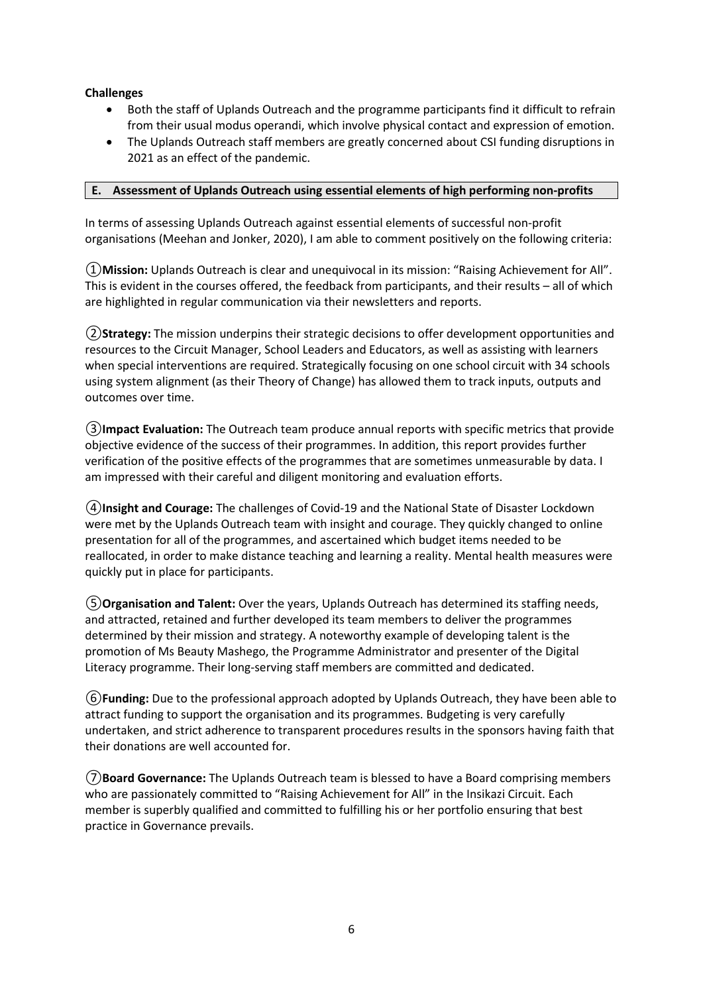# **Challenges**

- Both the staff of Uplands Outreach and the programme participants find it difficult to refrain from their usual modus operandi, which involve physical contact and expression of emotion.
- The Uplands Outreach staff members are greatly concerned about CSI funding disruptions in 2021 as an effect of the pandemic.

## **E. Assessment of Uplands Outreach using essential elements of high performing non-profits**

In terms of assessing Uplands Outreach against essential elements of successful non-profit organisations (Meehan and Jonker, 2020), I am able to comment positively on the following criteria:

①**Mission:** Uplands Outreach is clear and unequivocal in its mission: "Raising Achievement for All". This is evident in the courses offered, the feedback from participants, and their results – all of which are highlighted in regular communication via their newsletters and reports.

②**Strategy:** The mission underpins their strategic decisions to offer development opportunities and resources to the Circuit Manager, School Leaders and Educators, as well as assisting with learners when special interventions are required. Strategically focusing on one school circuit with 34 schools using system alignment (as their Theory of Change) has allowed them to track inputs, outputs and outcomes over time.

③**Impact Evaluation:** The Outreach team produce annual reports with specific metrics that provide objective evidence of the success of their programmes. In addition, this report provides further verification of the positive effects of the programmes that are sometimes unmeasurable by data. I am impressed with their careful and diligent monitoring and evaluation efforts.

④**Insight and Courage:** The challenges of Covid-19 and the National State of Disaster Lockdown were met by the Uplands Outreach team with insight and courage. They quickly changed to online presentation for all of the programmes, and ascertained which budget items needed to be reallocated, in order to make distance teaching and learning a reality. Mental health measures were quickly put in place for participants.

⑤**Organisation and Talent:** Over the years, Uplands Outreach has determined its staffing needs, and attracted, retained and further developed its team members to deliver the programmes determined by their mission and strategy. A noteworthy example of developing talent is the promotion of Ms Beauty Mashego, the Programme Administrator and presenter of the Digital Literacy programme. Their long-serving staff members are committed and dedicated.

⑥**Funding:** Due to the professional approach adopted by Uplands Outreach, they have been able to attract funding to support the organisation and its programmes. Budgeting is very carefully undertaken, and strict adherence to transparent procedures results in the sponsors having faith that their donations are well accounted for.

⑦**Board Governance:** The Uplands Outreach team is blessed to have a Board comprising members who are passionately committed to "Raising Achievement for All" in the Insikazi Circuit. Each member is superbly qualified and committed to fulfilling his or her portfolio ensuring that best practice in Governance prevails.